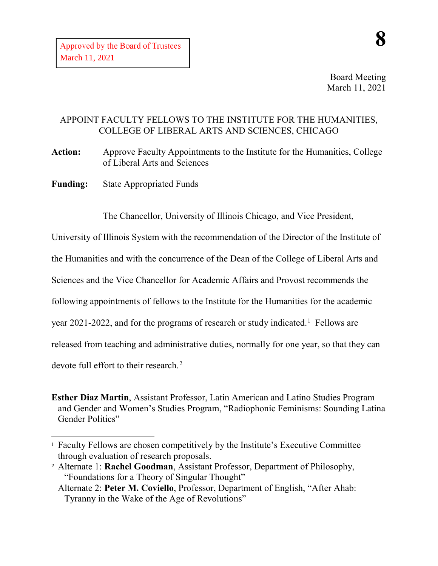Board Meeting March 11, 2021

## APPOINT FACULTY FELLOWS TO THE INSTITUTE FOR THE HUMANITIES, COLLEGE OF LIBERAL ARTS AND SCIENCES, CHICAGO

**Action:** Approve Faculty Appointments to the Institute for the Humanities, College of Liberal Arts and Sciences

**Funding:** State Appropriated Funds

The Chancellor, University of Illinois Chicago, and Vice President,

University of Illinois System with the recommendation of the Director of the Institute of

the Humanities and with the concurrence of the Dean of the College of Liberal Arts and

Sciences and the Vice Chancellor for Academic Affairs and Provost recommends the

following appointments of fellows to the Institute for the Humanities for the academic

year 202[1](#page-0-0)-2022, and for the programs of research or study indicated.<sup>1</sup> Fellows are

released from teaching and administrative duties, normally for one year, so that they can

devote full effort to their research.<sup>[2](#page-0-1)</sup>

-

**Esther Diaz Martin**, Assistant Professor, Latin American and Latino Studies Program and Gender and Women's Studies Program, "Radiophonic Feminisms: Sounding Latina Gender Politics"

<span id="page-0-0"></span><sup>1</sup> Faculty Fellows are chosen competitively by the Institute's Executive Committee through evaluation of research proposals.

<span id="page-0-1"></span><sup>2</sup> Alternate 1: **Rachel Goodman**, Assistant Professor, Department of Philosophy, "Foundations for a Theory of Singular Thought"

Alternate 2: **Peter M. Coviello**, Professor, Department of English, "After Ahab: Tyranny in the Wake of the Age of Revolutions"